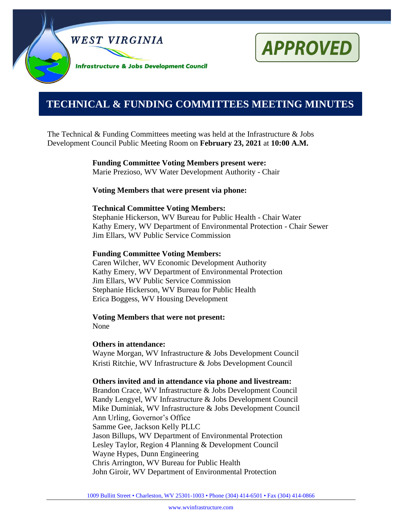



# **0000000000000000000000000000000000000000000000000000. TECHNICAL & FUNDING COMMITTEES MEETING MINUTES**

The Technical & Funding Committees meeting was held at the Infrastructure  $\&$  Jobs Development Council Public Meeting Room on **February 23, 2021** at **10:00 A.M.**

> **Funding Committee Voting Members present were:** Marie Prezioso, WV Water Development Authority - Chair

**Voting Members that were present via phone:**

#### **Technical Committee Voting Members:**

Stephanie Hickerson, WV Bureau for Public Health - Chair Water Kathy Emery, WV Department of Environmental Protection - Chair Sewer Jim Ellars, WV Public Service Commission

#### **Funding Committee Voting Members:**

Caren Wilcher, WV Economic Development Authority Kathy Emery, WV Department of Environmental Protection Jim Ellars, WV Public Service Commission Stephanie Hickerson, WV Bureau for Public Health Erica Boggess, WV Housing Development

**Voting Members that were not present:** None

#### **Others in attendance:**

Wayne Morgan, WV Infrastructure & Jobs Development Council Kristi Ritchie, WV Infrastructure & Jobs Development Council

#### **Others invited and in attendance via phone and livestream:**

Brandon Crace, WV Infrastructure & Jobs Development Council Randy Lengyel, WV Infrastructure & Jobs Development Council Mike Duminiak, WV Infrastructure & Jobs Development Council Ann Urling, Governor's Office Samme Gee, Jackson Kelly PLLC Jason Billups, WV Department of Environmental Protection Lesley Taylor, Region 4 Planning & Development Council Wayne Hypes, Dunn Engineering Chris Arrington, WV Bureau for Public Health John Giroir, WV Department of Environmental Protection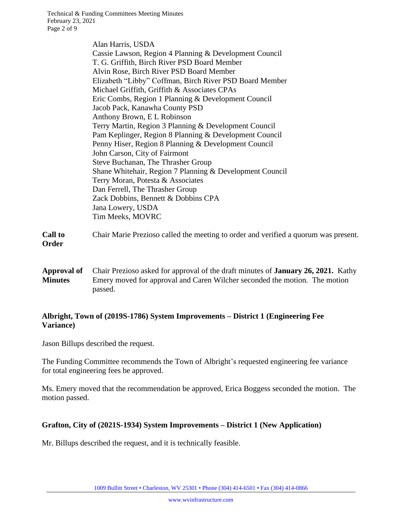Technical & Funding Committees Meeting Minutes February 23, 2021 Page 2 of 9

> Alan Harris, USDA Cassie Lawson, Region 4 Planning & Development Council T. G. Griffith, Birch River PSD Board Member Alvin Rose, Birch River PSD Board Member Elizabeth "Libby" Coffman, Birch River PSD Board Member Michael Griffith, Griffith & Associates CPAs Eric Combs, Region 1 Planning & Development Council Jacob Pack, Kanawha County PSD Anthony Brown, E L Robinson Terry Martin, Region 3 Planning & Development Council Pam Keplinger, Region 8 Planning & Development Council Penny Hiser, Region 8 Planning & Development Council John Carson, City of Fairmont Steve Buchanan, The Thrasher Group Shane Whitehair, Region 7 Planning & Development Council Terry Moran, Potesta & Associates Dan Ferrell, The Thrasher Group Zack Dobbins, Bennett & Dobbins CPA Jana Lowery, USDA Tim Meeks, MOVRC

| <b>Call to</b> | Chair Marie Prezioso called the meeting to order and verified a quorum was present. |
|----------------|-------------------------------------------------------------------------------------|
| Order          |                                                                                     |

**Approval of Minutes** Chair Prezioso asked for approval of the draft minutes of **January 26, 2021.** Kathy Emery moved for approval and Caren Wilcher seconded the motion. The motion passed.

# **Albright, Town of (2019S-1786) System Improvements – District 1 (Engineering Fee Variance)**

Jason Billups described the request.

The Funding Committee recommends the Town of Albright's requested engineering fee variance for total engineering fees be approved.

Ms. Emery moved that the recommendation be approved, Erica Boggess seconded the motion. The motion passed.

# **Grafton, City of (2021S-1934) System Improvements – District 1 (New Application)**

Mr. Billups described the request, and it is technically feasible.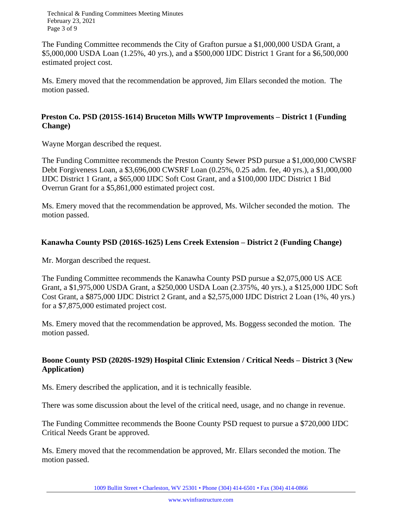Technical & Funding Committees Meeting Minutes February 23, 2021 Page 3 of 9

The Funding Committee recommends the City of Grafton pursue a \$1,000,000 USDA Grant, a \$5,000,000 USDA Loan (1.25%, 40 yrs.), and a \$500,000 IJDC District 1 Grant for a \$6,500,000 estimated project cost.

Ms. Emery moved that the recommendation be approved, Jim Ellars seconded the motion. The motion passed.

#### **Preston Co. PSD (2015S-1614) Bruceton Mills WWTP Improvements – District 1 (Funding Change)**

Wayne Morgan described the request.

The Funding Committee recommends the Preston County Sewer PSD pursue a \$1,000,000 CWSRF Debt Forgiveness Loan, a \$3,696,000 CWSRF Loan (0.25%, 0.25 adm. fee, 40 yrs.), a \$1,000,000 IJDC District 1 Grant, a \$65,000 IJDC Soft Cost Grant, and a \$100,000 IJDC District 1 Bid Overrun Grant for a \$5,861,000 estimated project cost.

Ms. Emery moved that the recommendation be approved, Ms. Wilcher seconded the motion. The motion passed.

#### **Kanawha County PSD (2016S-1625) Lens Creek Extension – District 2 (Funding Change)**

Mr. Morgan described the request.

The Funding Committee recommends the Kanawha County PSD pursue a \$2,075,000 US ACE Grant, a \$1,975,000 USDA Grant, a \$250,000 USDA Loan (2.375%, 40 yrs.), a \$125,000 IJDC Soft Cost Grant, a \$875,000 IJDC District 2 Grant, and a \$2,575,000 IJDC District 2 Loan (1%, 40 yrs.) for a \$7,875,000 estimated project cost.

Ms. Emery moved that the recommendation be approved, Ms. Boggess seconded the motion. The motion passed.

# **Boone County PSD (2020S-1929) Hospital Clinic Extension / Critical Needs – District 3 (New Application)**

Ms. Emery described the application, and it is technically feasible.

There was some discussion about the level of the critical need, usage, and no change in revenue.

The Funding Committee recommends the Boone County PSD request to pursue a \$720,000 IJDC Critical Needs Grant be approved.

Ms. Emery moved that the recommendation be approved, Mr. Ellars seconded the motion. The motion passed.

1009 Bullitt Street • Charleston, WV 25301 • Phone (304) 414-6501 • Fax (304) 414-0866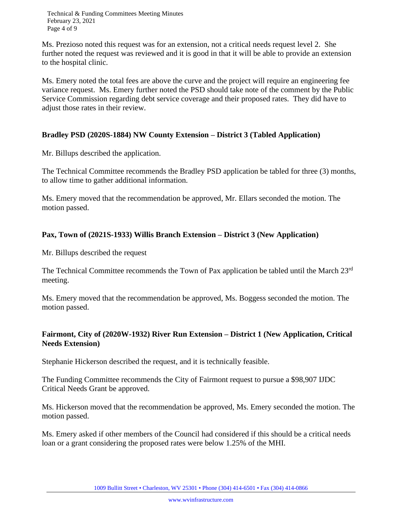Technical & Funding Committees Meeting Minutes February 23, 2021 Page 4 of 9

Ms. Prezioso noted this request was for an extension, not a critical needs request level 2. She further noted the request was reviewed and it is good in that it will be able to provide an extension to the hospital clinic.

Ms. Emery noted the total fees are above the curve and the project will require an engineering fee variance request. Ms. Emery further noted the PSD should take note of the comment by the Public Service Commission regarding debt service coverage and their proposed rates. They did have to adjust those rates in their review.

# **Bradley PSD (2020S-1884) NW County Extension – District 3 (Tabled Application)**

Mr. Billups described the application.

The Technical Committee recommends the Bradley PSD application be tabled for three (3) months, to allow time to gather additional information.

Ms. Emery moved that the recommendation be approved, Mr. Ellars seconded the motion. The motion passed.

# **Pax, Town of (2021S-1933) Willis Branch Extension – District 3 (New Application)**

Mr. Billups described the request

The Technical Committee recommends the Town of Pax application be tabled until the March 23<sup>rd</sup> meeting.

Ms. Emery moved that the recommendation be approved, Ms. Boggess seconded the motion. The motion passed.

# **Fairmont, City of (2020W-1932) River Run Extension – District 1 (New Application, Critical Needs Extension)**

Stephanie Hickerson described the request, and it is technically feasible.

The Funding Committee recommends the City of Fairmont request to pursue a \$98,907 IJDC Critical Needs Grant be approved.

Ms. Hickerson moved that the recommendation be approved, Ms. Emery seconded the motion. The motion passed.

Ms. Emery asked if other members of the Council had considered if this should be a critical needs loan or a grant considering the proposed rates were below 1.25% of the MHI.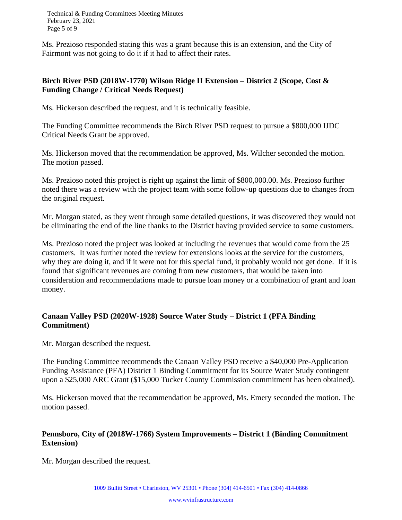Technical & Funding Committees Meeting Minutes February 23, 2021 Page 5 of 9

Ms. Prezioso responded stating this was a grant because this is an extension, and the City of Fairmont was not going to do it if it had to affect their rates.

#### **Birch River PSD (2018W-1770) Wilson Ridge II Extension – District 2 (Scope, Cost & Funding Change / Critical Needs Request)**

Ms. Hickerson described the request, and it is technically feasible.

The Funding Committee recommends the Birch River PSD request to pursue a \$800,000 IJDC Critical Needs Grant be approved.

Ms. Hickerson moved that the recommendation be approved, Ms. Wilcher seconded the motion. The motion passed.

Ms. Prezioso noted this project is right up against the limit of \$800,000.00. Ms. Prezioso further noted there was a review with the project team with some follow-up questions due to changes from the original request.

Mr. Morgan stated, as they went through some detailed questions, it was discovered they would not be eliminating the end of the line thanks to the District having provided service to some customers.

Ms. Prezioso noted the project was looked at including the revenues that would come from the 25 customers. It was further noted the review for extensions looks at the service for the customers, why they are doing it, and if it were not for this special fund, it probably would not get done. If it is found that significant revenues are coming from new customers, that would be taken into consideration and recommendations made to pursue loan money or a combination of grant and loan money.

# **Canaan Valley PSD (2020W-1928) Source Water Study – District 1 (PFA Binding Commitment)**

Mr. Morgan described the request.

The Funding Committee recommends the Canaan Valley PSD receive a \$40,000 Pre-Application Funding Assistance (PFA) District 1 Binding Commitment for its Source Water Study contingent upon a \$25,000 ARC Grant (\$15,000 Tucker County Commission commitment has been obtained).

Ms. Hickerson moved that the recommendation be approved, Ms. Emery seconded the motion. The motion passed.

# **Pennsboro, City of (2018W-1766) System Improvements – District 1 (Binding Commitment Extension)**

Mr. Morgan described the request.

1009 Bullitt Street • Charleston, WV 25301 • Phone (304) 414-6501 • Fax (304) 414-0866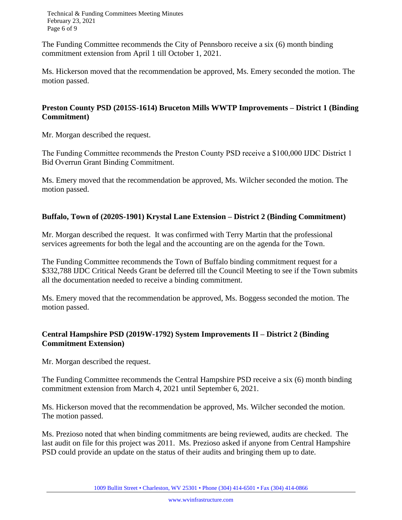Technical & Funding Committees Meeting Minutes February 23, 2021 Page 6 of 9

The Funding Committee recommends the City of Pennsboro receive a six (6) month binding commitment extension from April 1 till October 1, 2021.

Ms. Hickerson moved that the recommendation be approved, Ms. Emery seconded the motion. The motion passed.

#### **Preston County PSD (2015S-1614) Bruceton Mills WWTP Improvements – District 1 (Binding Commitment)**

Mr. Morgan described the request.

The Funding Committee recommends the Preston County PSD receive a \$100,000 IJDC District 1 Bid Overrun Grant Binding Commitment.

Ms. Emery moved that the recommendation be approved, Ms. Wilcher seconded the motion. The motion passed.

# **Buffalo, Town of (2020S-1901) Krystal Lane Extension – District 2 (Binding Commitment)**

Mr. Morgan described the request. It was confirmed with Terry Martin that the professional services agreements for both the legal and the accounting are on the agenda for the Town.

The Funding Committee recommends the Town of Buffalo binding commitment request for a \$332,788 IJDC Critical Needs Grant be deferred till the Council Meeting to see if the Town submits all the documentation needed to receive a binding commitment.

Ms. Emery moved that the recommendation be approved, Ms. Boggess seconded the motion. The motion passed.

# **Central Hampshire PSD (2019W-1792) System Improvements II – District 2 (Binding Commitment Extension)**

Mr. Morgan described the request.

The Funding Committee recommends the Central Hampshire PSD receive a six (6) month binding commitment extension from March 4, 2021 until September 6, 2021.

Ms. Hickerson moved that the recommendation be approved, Ms. Wilcher seconded the motion. The motion passed.

Ms. Prezioso noted that when binding commitments are being reviewed, audits are checked. The last audit on file for this project was 2011. Ms. Prezioso asked if anyone from Central Hampshire PSD could provide an update on the status of their audits and bringing them up to date.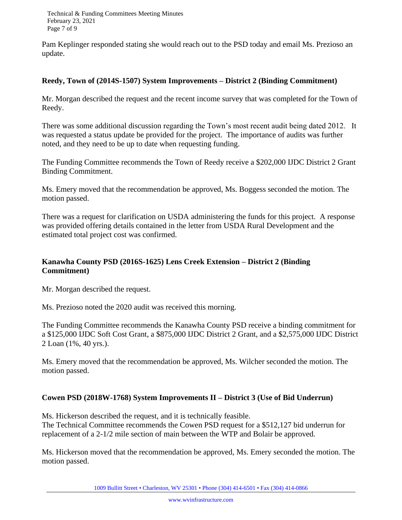Technical & Funding Committees Meeting Minutes February 23, 2021 Page 7 of 9

Pam Keplinger responded stating she would reach out to the PSD today and email Ms. Prezioso an update.

#### **Reedy, Town of (2014S-1507) System Improvements – District 2 (Binding Commitment)**

Mr. Morgan described the request and the recent income survey that was completed for the Town of Reedy.

There was some additional discussion regarding the Town's most recent audit being dated 2012. It was requested a status update be provided for the project. The importance of audits was further noted, and they need to be up to date when requesting funding.

The Funding Committee recommends the Town of Reedy receive a \$202,000 IJDC District 2 Grant Binding Commitment.

Ms. Emery moved that the recommendation be approved, Ms. Boggess seconded the motion. The motion passed.

There was a request for clarification on USDA administering the funds for this project. A response was provided offering details contained in the letter from USDA Rural Development and the estimated total project cost was confirmed.

# **Kanawha County PSD (2016S-1625) Lens Creek Extension – District 2 (Binding Commitment)**

Mr. Morgan described the request.

Ms. Prezioso noted the 2020 audit was received this morning.

The Funding Committee recommends the Kanawha County PSD receive a binding commitment for a \$125,000 IJDC Soft Cost Grant, a \$875,000 IJDC District 2 Grant, and a \$2,575,000 IJDC District 2 Loan (1%, 40 yrs.).

Ms. Emery moved that the recommendation be approved, Ms. Wilcher seconded the motion. The motion passed.

# **Cowen PSD (2018W-1768) System Improvements II – District 3 (Use of Bid Underrun)**

Ms. Hickerson described the request, and it is technically feasible. The Technical Committee recommends the Cowen PSD request for a \$512,127 bid underrun for replacement of a 2-1/2 mile section of main between the WTP and Bolair be approved.

Ms. Hickerson moved that the recommendation be approved, Ms. Emery seconded the motion. The motion passed.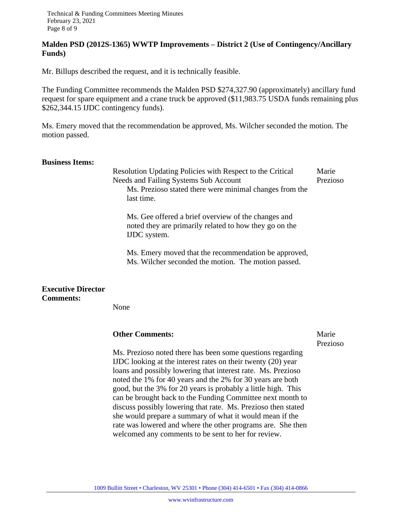#### **Malden PSD (2012S-1365) WWTP Improvements – District 2 (Use of Contingency/Ancillary Funds)**

Mr. Billups described the request, and it is technically feasible.

The Funding Committee recommends the Malden PSD \$274,327.90 (approximately) ancillary fund request for spare equipment and a crane truck be approved (\$11,983.75 USDA funds remaining plus \$262,344.15 IJDC contingency funds).

Ms. Emery moved that the recommendation be approved, Ms. Wilcher seconded the motion. The motion passed.

#### **Business Items:**

Resolution Updating Policies with Respect to the Critical Needs and Failing Systems Sub Account Marie Prezioso Ms. Prezioso stated there were minimal changes from the last time.

Ms. Gee offered a brief overview of the changes and noted they are primarily related to how they go on the IJDC system.

Ms. Emery moved that the recommendation be approved, Ms. Wilcher seconded the motion. The motion passed.

#### **Executive Director Comments:**

None

# **Other Comments:** Marie

Prezioso

Ms. Prezioso noted there has been some questions regarding IJDC looking at the interest rates on their twenty (20) year loans and possibly lowering that interest rate. Ms. Prezioso noted the 1% for 40 years and the 2% for 30 years are both good, but the 3% for 20 years is probably a little high. This can be brought back to the Funding Committee next month to discuss possibly lowering that rate. Ms. Prezioso then stated she would prepare a summary of what it would mean if the rate was lowered and where the other programs are. She then welcomed any comments to be sent to her for review.